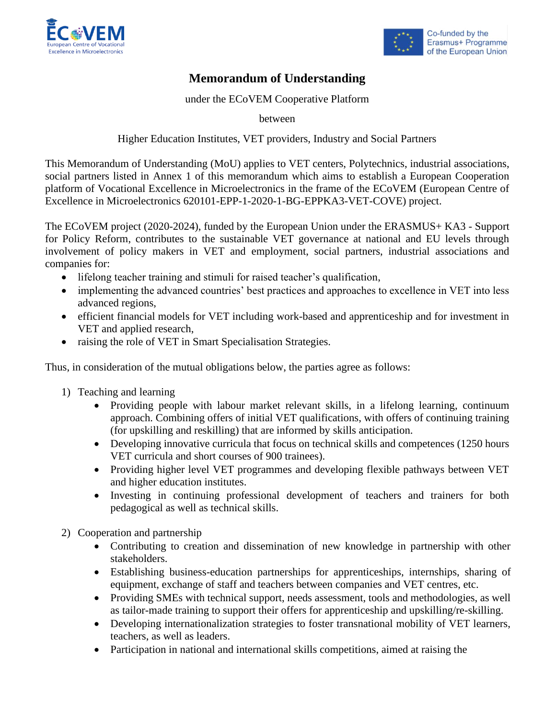



# **Memorandum of Understanding**

under the ECoVEM Cooperative Platform

between

Higher Education Institutes, VET providers, Industry and Social Partners

This Memorandum of Understanding (MoU) applies to VET centers, Polytechnics, industrial associations, social partners listed in Annex 1 of this memorandum which aims to establish a European Cooperation platform of Vocational Excellence in Microelectronics in the frame of the ECoVEM (European Centre of Excellence in Microelectronics 620101-EPP-1-2020-1-BG-EPPKA3-VET-COVE) project.

The ECoVEM project (2020-2024), funded by the European Union under the ERASMUS+ KA3 - Support for Policy Reform, contributes to the sustainable VET governance at national and EU levels through involvement of policy makers in VET and employment, social partners, industrial associations and companies for:

- lifelong teacher training and stimuli for raised teacher's qualification,
- implementing the advanced countries' best practices and approaches to excellence in VET into less advanced regions,
- efficient financial models for VET including work-based and apprenticeship and for investment in VET and applied research,
- raising the role of VET in Smart Specialisation Strategies.

Thus, in consideration of the mutual obligations below, the parties agree as follows:

- 1) Teaching and learning
	- Providing people with labour market relevant skills, in a lifelong learning, continuum approach. Combining offers of initial VET qualifications, with offers of continuing training (for upskilling and reskilling) that are informed by skills anticipation.
	- Developing innovative curricula that focus on technical skills and competences (1250 hours VET curricula and short courses of 900 trainees).
	- Providing higher level VET programmes and developing flexible pathways between VET and higher education institutes.
	- Investing in continuing professional development of teachers and trainers for both pedagogical as well as technical skills.
- 2) Cooperation and partnership
	- Contributing to creation and dissemination of new knowledge in partnership with other stakeholders.
	- Establishing business-education partnerships for apprenticeships, internships, sharing of equipment, exchange of staff and teachers between companies and VET centres, etc.
	- Providing SMEs with technical support, needs assessment, tools and methodologies, as well as tailor-made training to support their offers for apprenticeship and upskilling/re-skilling.
	- Developing internationalization strategies to foster transnational mobility of VET learners, teachers, as well as leaders.
	- Participation in national and international skills competitions, aimed at raising the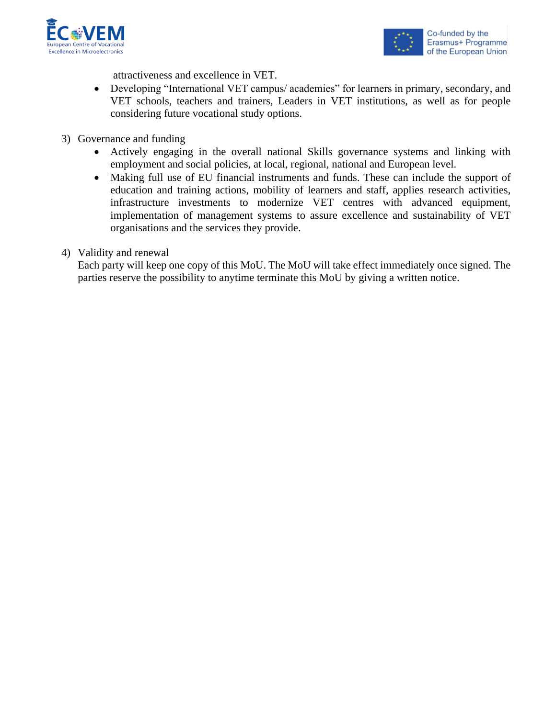



attractiveness and excellence in VET.

- Developing "International VET campus/ academies" for learners in primary, secondary, and VET schools, teachers and trainers, Leaders in VET institutions, as well as for people considering future vocational study options.
- 3) Governance and funding
	- Actively engaging in the overall national Skills governance systems and linking with employment and social policies, at local, regional, national and European level.
	- Making full use of EU financial instruments and funds. These can include the support of education and training actions, mobility of learners and staff, applies research activities, infrastructure investments to modernize VET centres with advanced equipment, implementation of management systems to assure excellence and sustainability of VET organisations and the services they provide.
- 4) Validity and renewal

Each party will keep one copy of this MoU. The MoU will take effect immediately once signed. The parties reserve the possibility to anytime terminate this MoU by giving a written notice.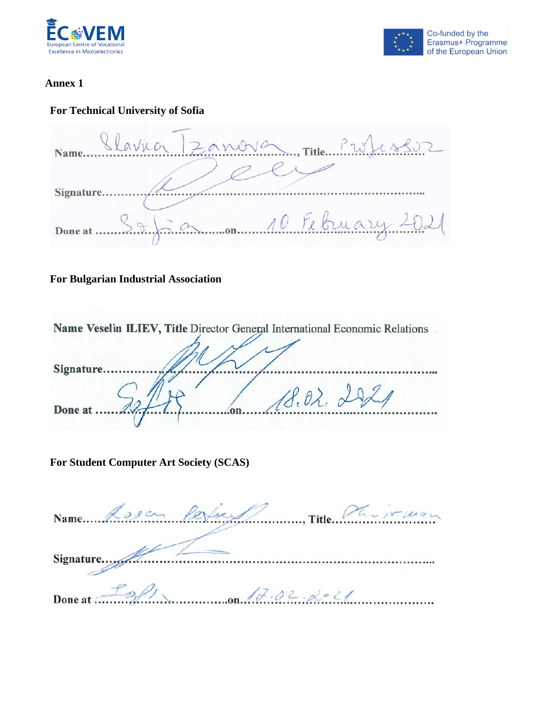



#### **Annex 1**

# **For Technical University of Sofia**

Llavna Zanova  $\ldots$ , Title $\ldots$ .  $\ldots$  $20^ \sqrt{8}$ Name. Signature.. on 10 February 20 Done at.

## **For Bulgarian Industrial Association**

| Name Veselin ILIEV, Title Director General International Economic Relations |
|-----------------------------------------------------------------------------|
|                                                                             |
|                                                                             |
| Signature.                                                                  |
|                                                                             |
| 18.022                                                                      |
| Done at                                                                     |
|                                                                             |

## **For Student Computer Art Society (SCAS)**

|                                     | Name Rosen Perfus Pin Title Philippines |
|-------------------------------------|-----------------------------------------|
|                                     |                                         |
|                                     |                                         |
| Done at $\mathcal{L}_{\mathcal{L}}$ |                                         |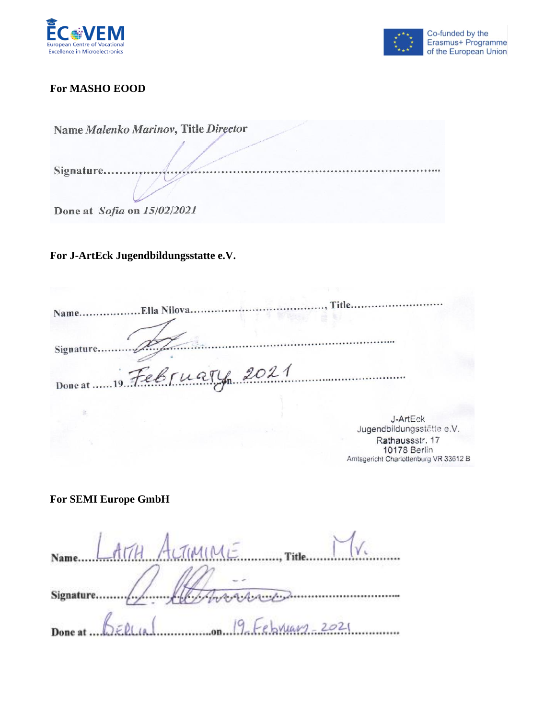



# **For MASHO EOOD**

| Name Malenko Marinov, Title Director |
|--------------------------------------|
|                                      |
| Signature.                           |
|                                      |
| Done at Sofia on 15/02/2021          |

# **For J-ArtEck Jugendbildungsstatte e.V.**

| Title                     |  |
|---------------------------|--|
|                           |  |
| Done at  19 February 2021 |  |
| 1.1777                    |  |

J-ArtEck<br>Jugendbildungsstätte e.V. Rathaussstr. 17 10178 Berlin Amtsgericht Charlottenburg VR 33612 B

**For SEMI Europe GmbH**

| Name LAMH ALTIMINE Title          |
|-----------------------------------|
|                                   |
| Done at BERLIN ( 19 February 2021 |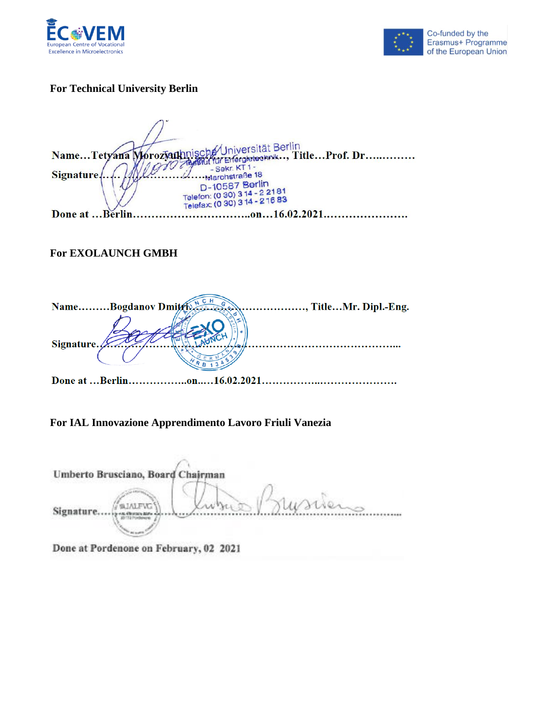



## **For Technical University Berlin**

KUniversität Berlin<br>für Energietechnik.., Title...Prof. Dr.............. Name...Tetyana Morozyatkinisc - Sekr. KT1-<br>- Narchstraße 18 **Signature** D-10587 Berlin D-10587 Berlin<br>Telefon: (0 30) 3 14 - 2 21 81<br>Telefax: (0 30) 3 14 - 2 16 83 Done at ... Berlin. ..............on...16.02.2021.........................

## **For EXOLAUNCH GMBH**

| NameBogdanov Dmitrix     | , TitleMr. Dipl.-Eng. |
|--------------------------|-----------------------|
|                          |                       |
|                          |                       |
| Signature.               |                       |
|                          |                       |
| Done at Berlin16.02.2021 |                       |

#### **For IAL Innovazione Apprendimento Lavoro Friuli Vanezia**

| Umberto Brusciano, Board Chairman |       |
|-----------------------------------|-------|
| <b>ALFWG</b><br>Signature.        | Wrien |

Done at Pordenone on February, 02 2021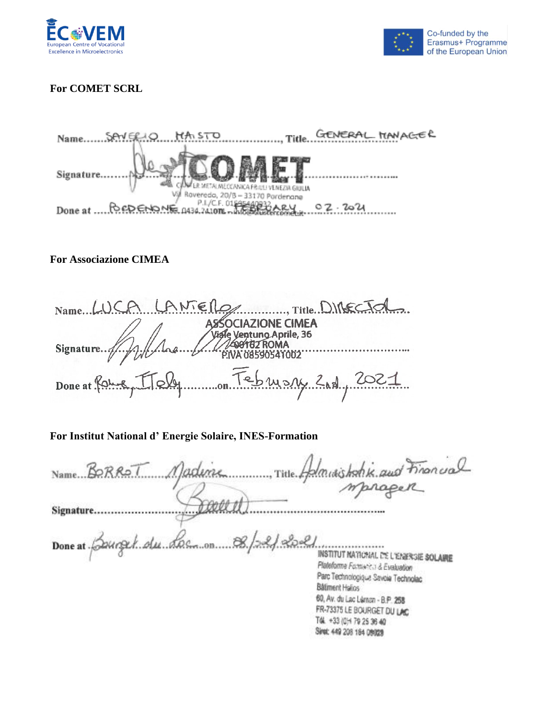



# **For COMET SCRL**

GENERAL MANAGER Name....... SAV ERIO HA STO ......... Title.. Signature... . . . . . . . . . ER METALMECCANICA FRIULI VENEZIA GIULIA Vil Roveredo, 20/B - 33170 Pordenane Done at CREDENONE 0434.241006 - AREA CHARGE 02.2021

#### **For Associazione CIMEA**

Name LUCA LANTER Title DIRECTOR  $\overline{\mathcal{L}}$ **SSOCIAZIONE CIMEA** le Ventuno Aprile, 36 **99162 ROMA** Signature.. ......................... **VA 08590541002** on Tebrishy 2nd, 2021 Done at Roy

## **For Institut National d' Energie Solaire, INES-Formation**

| Name BORROT Mademe                  | Title Administrative and Financial                                                                                        |
|-------------------------------------|---------------------------------------------------------------------------------------------------------------------------|
|                                     |                                                                                                                           |
| Signature.                          |                                                                                                                           |
| Done at Bourget du Loc on 8/22/2021 | INSTITUT MATICMAL DE L'ENERGIE SOLAIRE<br>Plateforme Formwich & Evaluation                                                |
|                                     | Parc Technologique Savoia Technolac<br><b>Bätment Halios</b><br>$BA + \ldots + + \ldots + + \ldots + + \ldots + + \ldots$ |

60, Av. du Lac Léman - B.P. 258 FR-73375 LE BOURGET DU LAC TOL +33 (0) + 79 25 36 40 Siret: 449 208 184 08029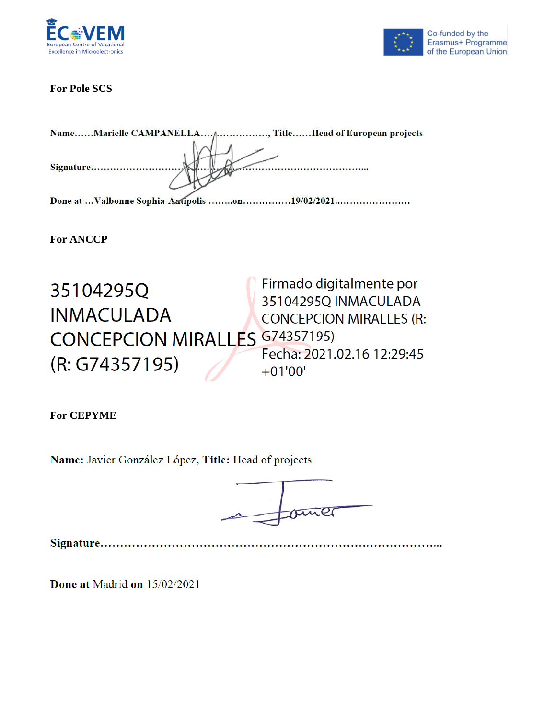



## **For Pole SCS**

| NameMarielle CAMPANELLA <sub>fl</sub> , TitleHead of European projects |
|------------------------------------------------------------------------|
| Signature                                                              |
|                                                                        |
| Done at Valbonne Sophia-Aztipolis on19/02/2021                         |

**For ANCCP**

Firmado digitalmente por 35104295Q 35104295Q INMACULADA **INMACULADA CONCEPCION MIRALLES (R: CONCEPCION MIRALLES G74357195)** Fecha: 2021.02.16 12:29:45 (R: G74357195)  $+01'00'$ 

**For CEPYME**

Name: Javier González López, Title: Head of projects



Done at Madrid on 15/02/2021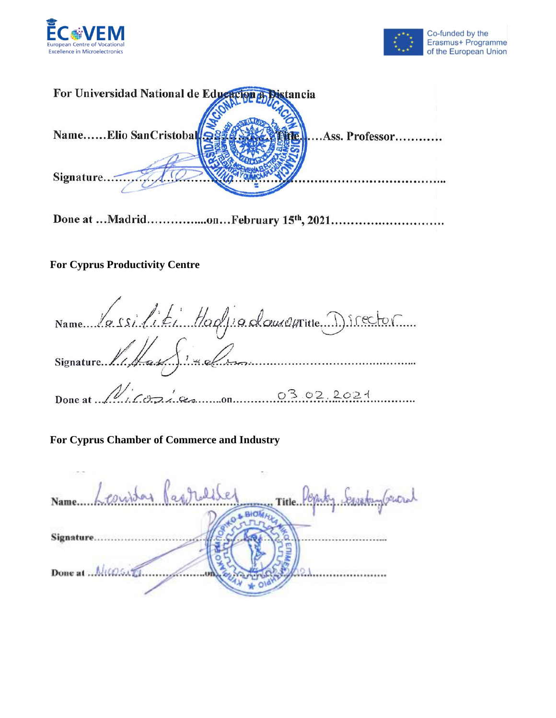



| For Universidad National de Educacion a Distancia |                |
|---------------------------------------------------|----------------|
| NameElio SanCristobal                             | Ass. Professor |
| Signature                                         |                |

# **For Cyprus Productivity Centre**

Name la ssilité Haglia douvertite Director  $1.672$   $8.0222021$ Done at  $\mathcal{N}$ 

## **For Cyprus Chamber of Commerce and Industry**

| Name Leonsday Paprolisel | . Title Peppiky basedurg buond |  |
|--------------------------|--------------------------------|--|
|                          |                                |  |
| Signature                |                                |  |
| Done at  MICOSATI.       |                                |  |